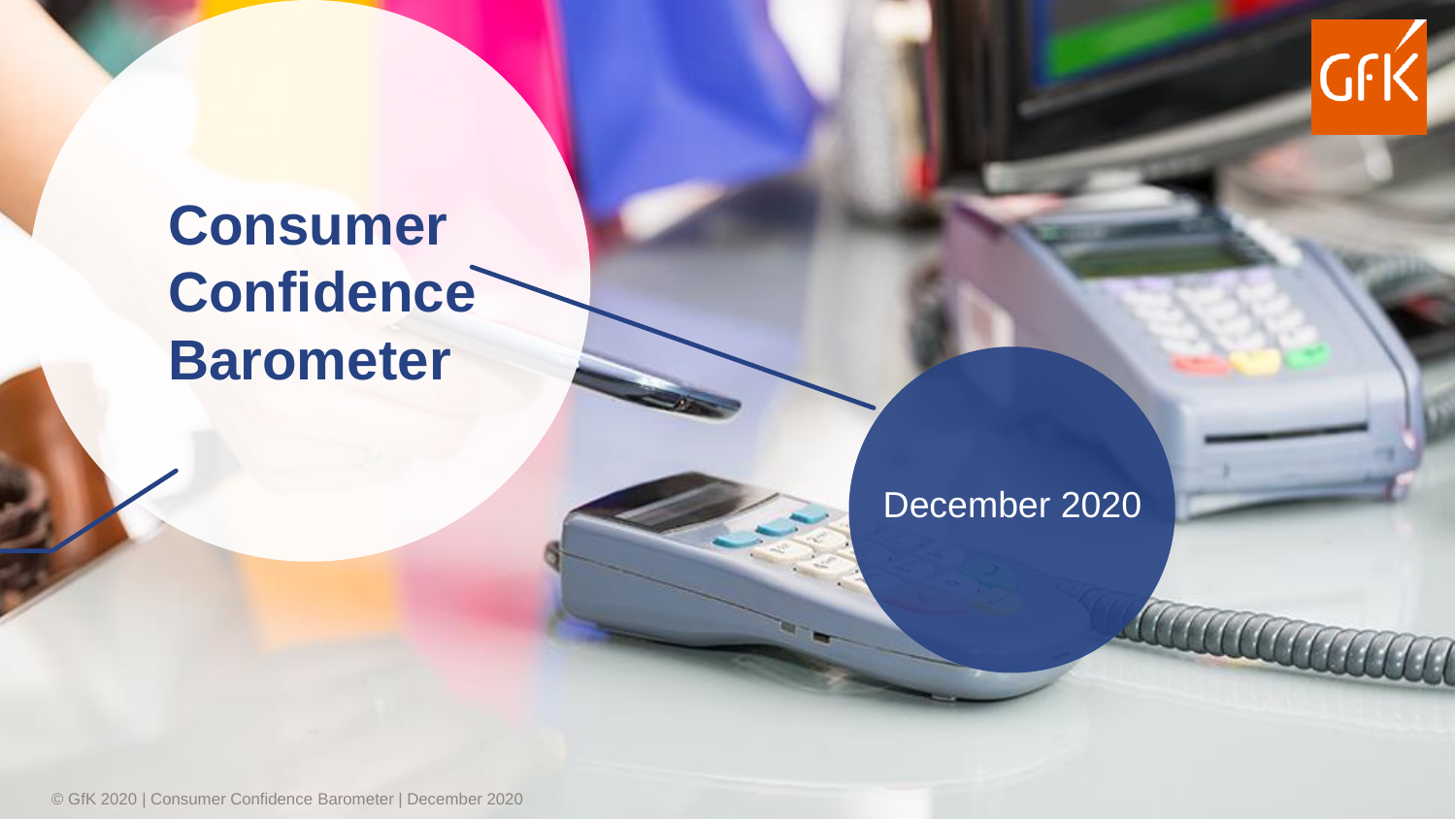

# **Consumer Confidence Barometer**

### December 2020

© GfK 2020 | Consumer Confidence Barometer | December 2020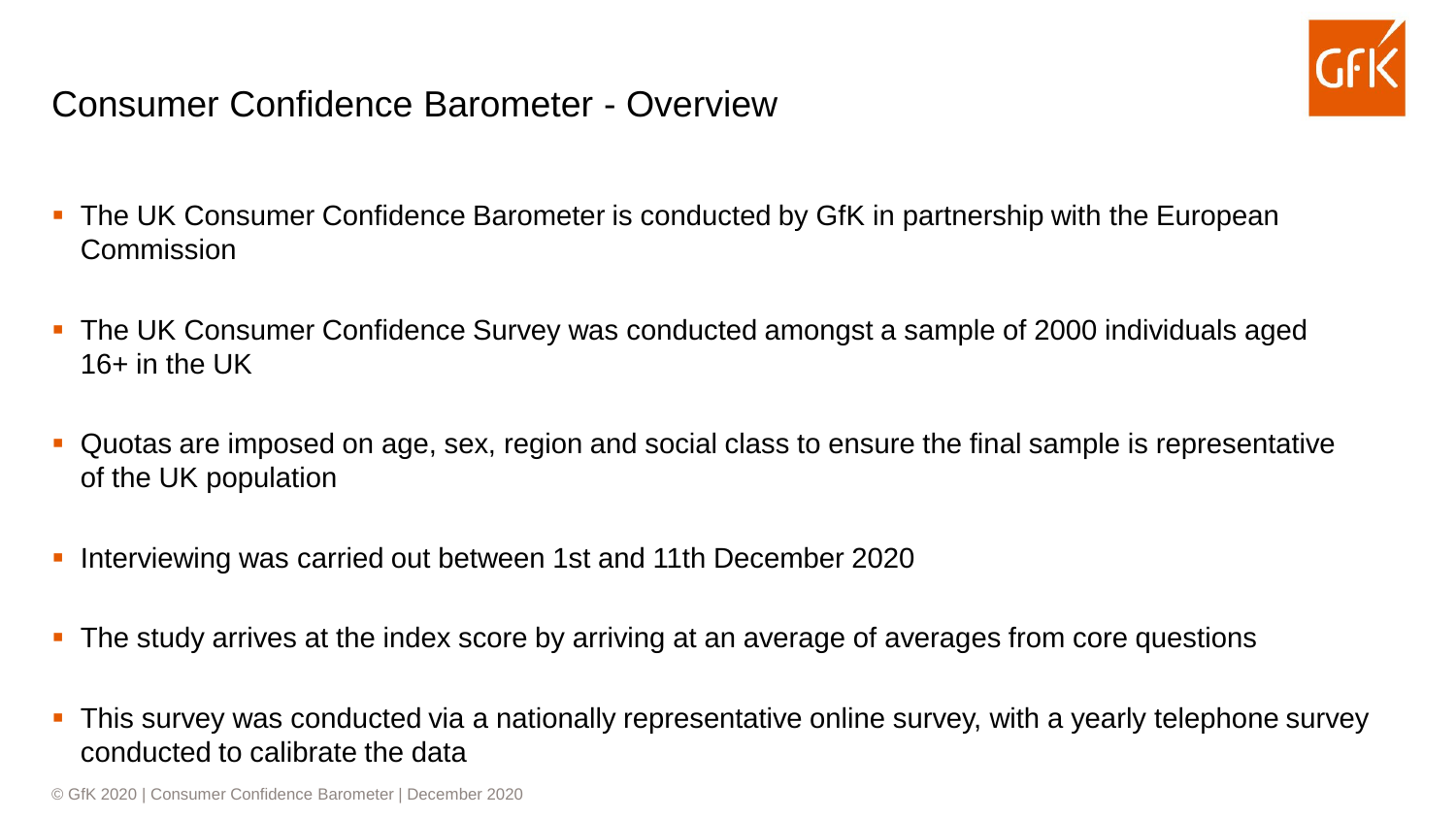

#### Consumer Confidence Barometer - Overview

- The UK Consumer Confidence Barometer is conducted by GfK in partnership with the European **Commission**
- The UK Consumer Confidence Survey was conducted amongst a sample of 2000 individuals aged 16+ in the UK
- Quotas are imposed on age, sex, region and social class to ensure the final sample is representative of the UK population
- Interviewing was carried out between 1st and 11th December 2020
- **The study arrives at the index score by arriving at an average of averages from core questions**
- **•** This survey was conducted via a nationally representative online survey, with a yearly telephone survey conducted to calibrate the data

© GfK 2020 | Consumer Confidence Barometer | December 2020 2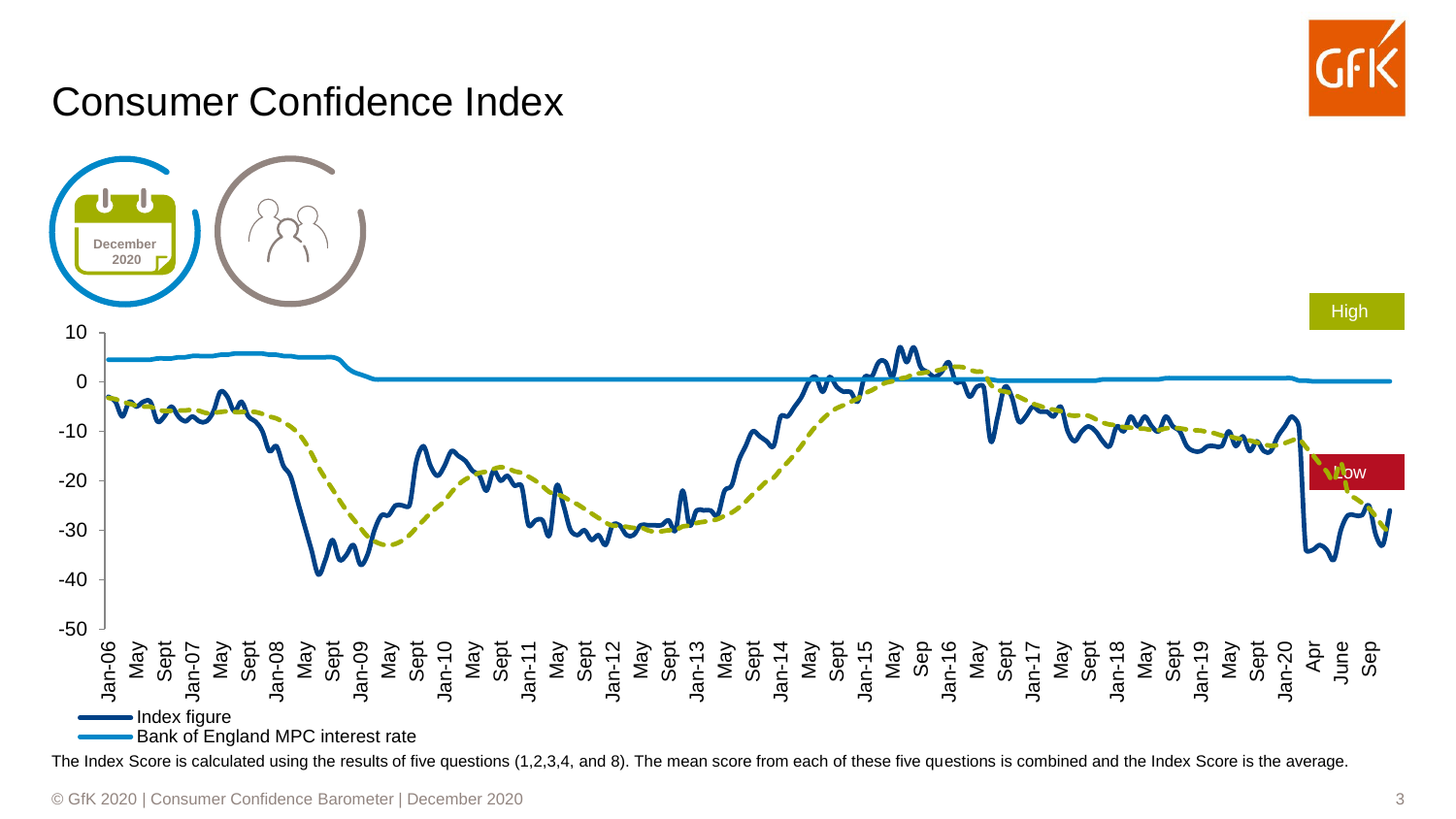

## Consumer Confidence Index

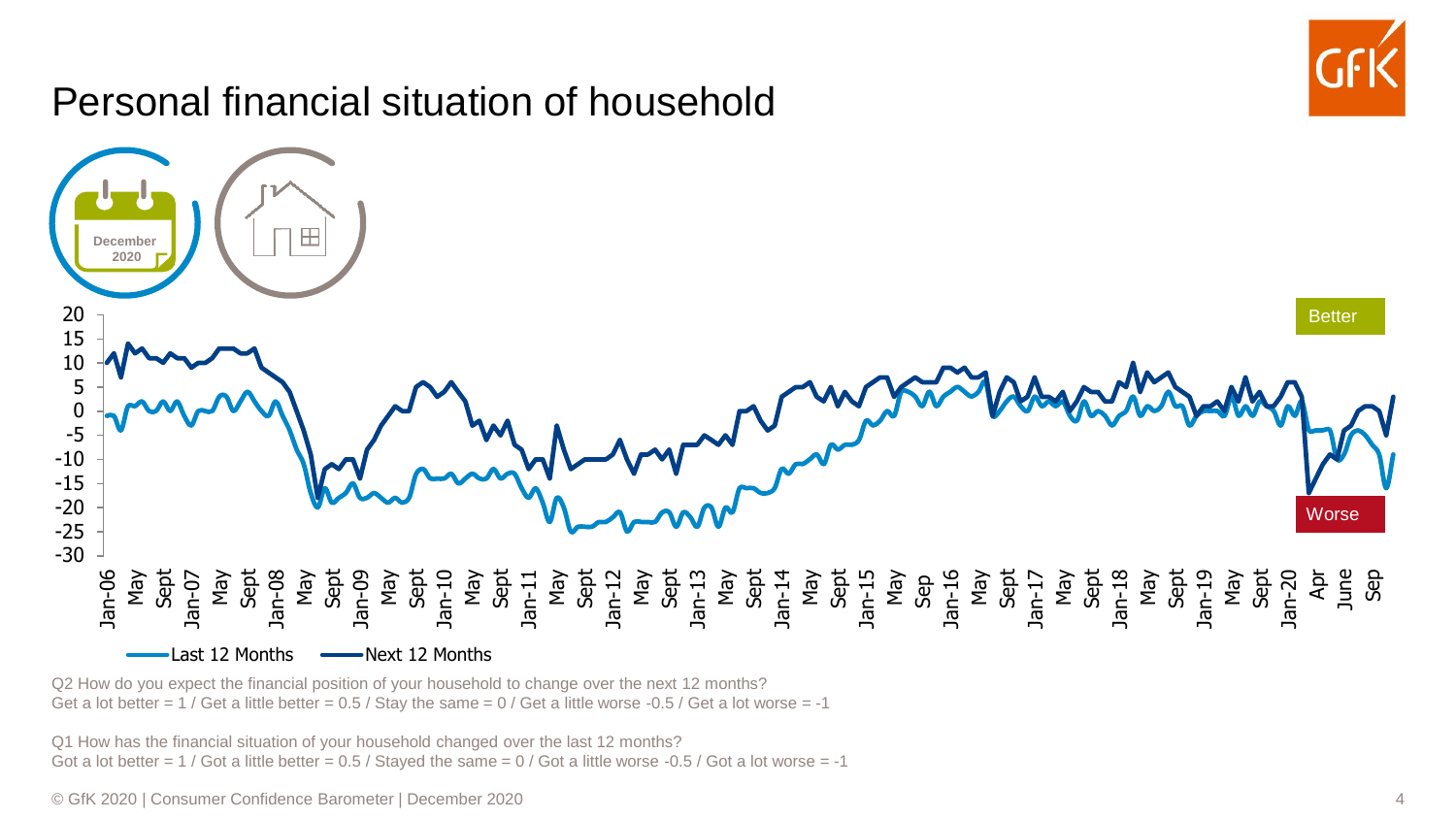

Q2 How do you expect the financial position of your household to change over the next 12 months? Get a lot better =  $1$  / Get a little better = 0.5 / Stay the same =  $0$  / Get a little worse -0.5 / Get a lot worse = -1

Q1 How has the financial situation of your household changed over the last 12 months? Got a lot better =  $1 /$  Got a little better = 0.5 / Stayed the same = 0 / Got a little worse -0.5 / Got a lot worse = -1

© GfK 2020 | Consumer Confidence Barometer | December 2020 4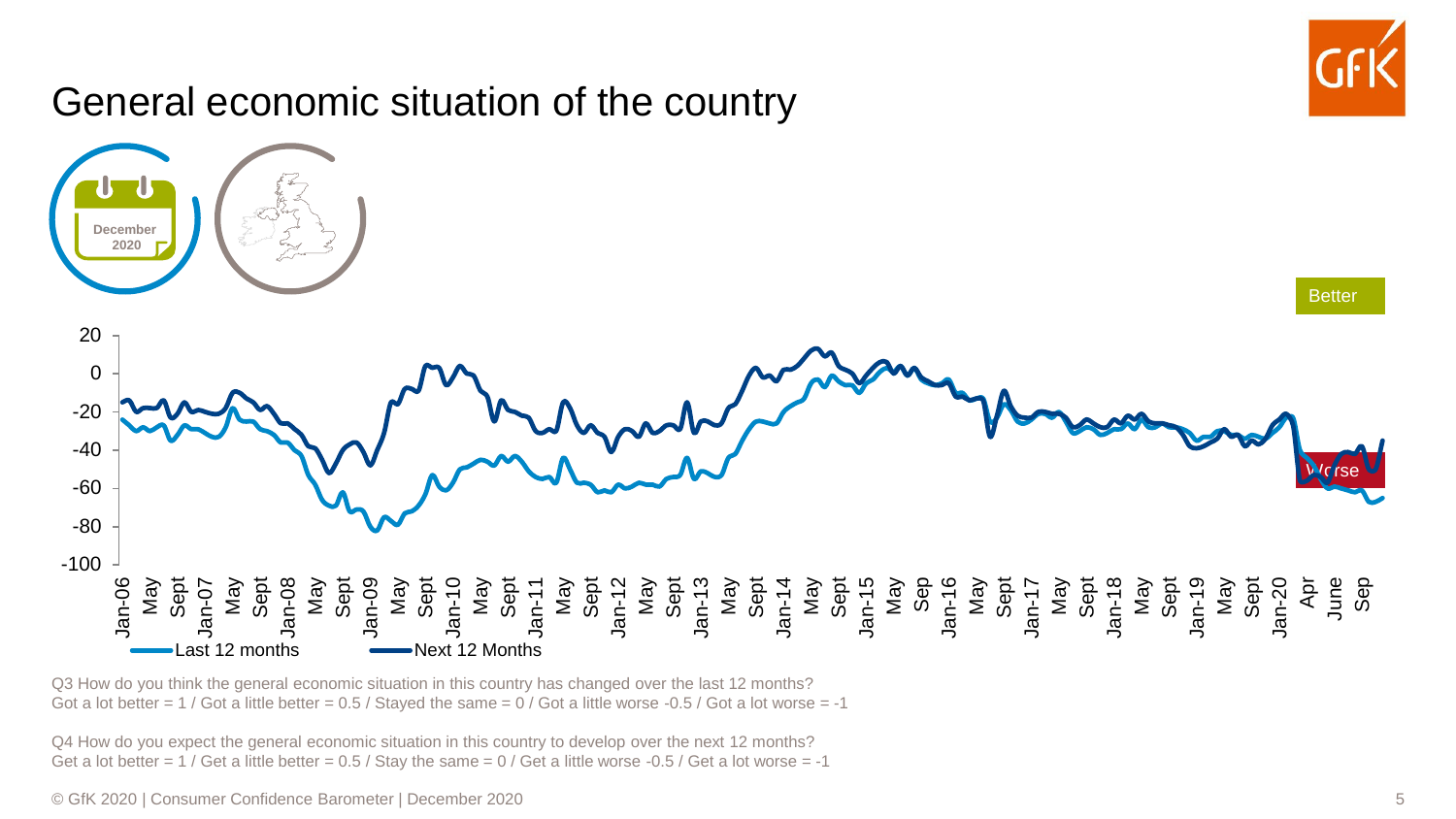

Q3 How do you think the general economic situation in this country has changed over the last 12 months? Got a lot better =  $1$  / Got a little better =  $0.5$  / Stayed the same =  $0$  / Got a little worse -0.5 / Got a lot worse = -1

Q4 How do you expect the general economic situation in this country to develop over the next 12 months? Get a lot better =  $1$  / Get a little better = 0.5 / Stay the same =  $0$  / Get a little worse -0.5 / Get a lot worse = -1

© GfK 2020 | Consumer Confidence Barometer | December 2020 5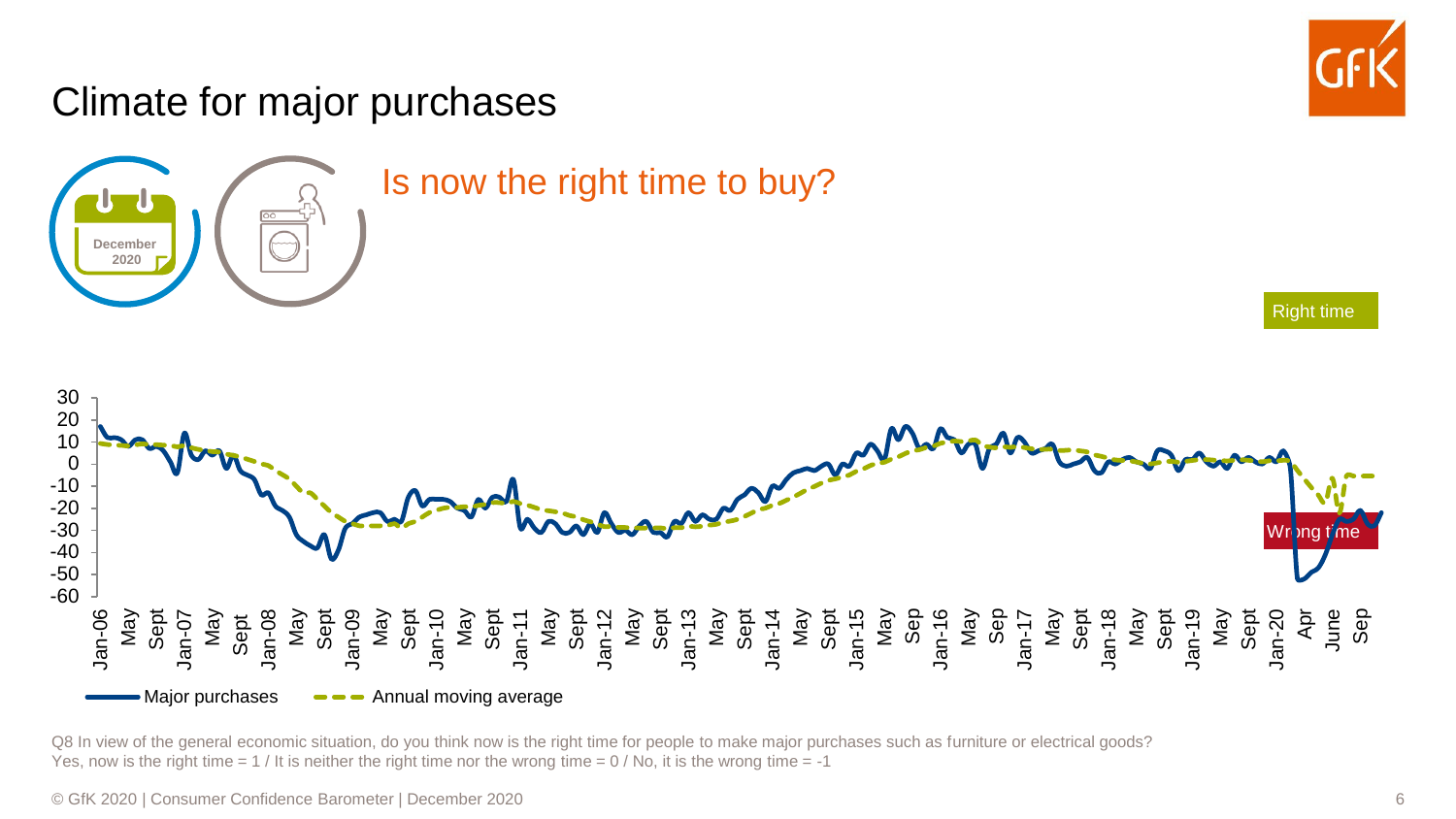#### Climate for major purchases Right time Wrong tim Jan-06 May Sept Jan-07 May Sept Jan-08 May Sept Jan-09 May Sept Jan-10 May Sept Jan-11 May Sept Jan-12<br>May 5 may 12 may 12 may 12 may 12 may 12 may 12 may 12 may 12 may 12 may 12 may 12 may 12 may 12 may 12<br>Jan-17 may 12 may 12 may 12 may 12 may 12 may 12 may 12 may 12 may 12 may 12 may 12 may 12 may 12 may 12 may 1<br> Apr June Sep -60 -50 -40 -30 -20 -10 0 10 20 30  $-Major$  purchases  $\longrightarrow$  Annual moving average Is now the right time to buy? **December 2020**

Q8 In view of the general economic situation, do you think now is the right time for people to make major purchases such as furniture or electrical goods? Yes, now is the right time  $= 1$  / It is neither the right time nor the wrong time  $= 0$  / No, it is the wrong time  $= -1$